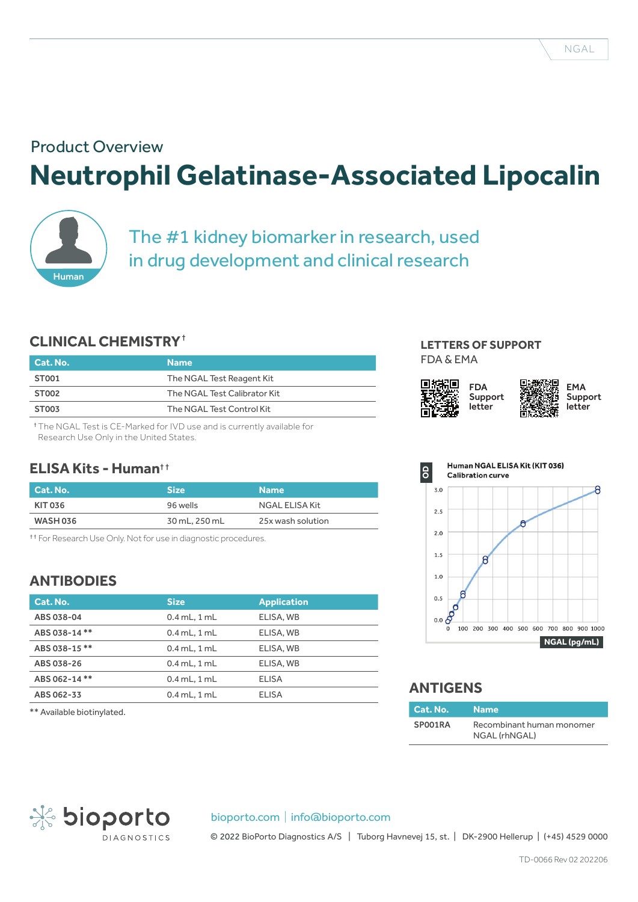# **Neutrophil Gelatinase-Associated Lipocalin** Product Overview



The #1 kidney biomarker in research, used in drug development and clinical research

# **CLINICAL CHEMISTRY**†

| Cat. No.          | <b>Name</b>                  |
|-------------------|------------------------------|
| ST001             | The NGAL Test Reagent Kit    |
| ST <sub>002</sub> | The NGAL Test Calibrator Kit |
| <b>ST003</b>      | The NGAL Test Control Kit    |
|                   |                              |

† The NGAL Test is CE-Marked for IVD use and is currently available for Research Use Only in the United States.

## **ELISA Kits - Human**† †

| Cat. No. | <b>Size</b>   | <b>Name</b>       |
|----------|---------------|-------------------|
| KIT 036  | 96 wells      | NGAL ELISA Kit    |
| WASH 036 | 30 mL, 250 mL | 25x wash solution |
|          |               |                   |

<sup>†</sup> For Research Use Only. Not for use in diagnostic procedures.

# **ANTIBODIES**

| Cat. No.     | <b>Size</b>      | <b>Application</b> |
|--------------|------------------|--------------------|
| ABS 038-04   | $0.4$ mL, $1$ mL | ELISA, WB          |
| ABS 038-14** | $0.4$ mL, $1$ mL | ELISA, WB          |
| ABS 038-15** | $0.4$ mL, $1$ mL | ELISA, WB          |
| ABS 038-26   | $0.4$ mL, $1$ mL | ELISA, WB          |
| ABS 062-14** | $0.4$ mL, $1$ mL | ELISA              |
| ABS 062-33   | $0.4$ mL, $1$ mL | <b>ELISA</b>       |

 $**$  Available biotinylated.

#### **LETTERS OF SUPPORT** FDA & EMA





# **ANTIGENS**

| Cat. No. Name |                                            |
|---------------|--------------------------------------------|
| SP001RA       | Recombinant human monomer<br>NGAL (rhNGAL) |



#### bioporto.com | info@bioporto.com

© 2022 BioPorto Diagnostics A/S | Tuborg Havnevej 15, st. | DK-2900 Hellerup | (+45) 4529 0000